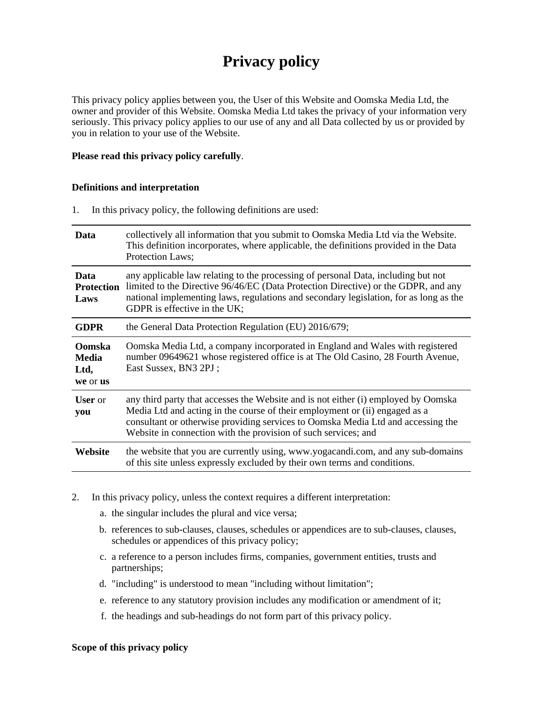# **Privacy policy**

This privacy policy applies between you, the User of this Website and Oomska Media Ltd, the owner and provider of this Website. Oomska Media Ltd takes the privacy of your information very seriously. This privacy policy applies to our use of any and all Data collected by us or provided by you in relation to your use of the Website.

# **Please read this privacy policy carefully**.

## **Definitions and interpretation**

1. In this privacy policy, the following definitions are used:

| Data                                              | collectively all information that you submit to Oomska Media Ltd via the Website.<br>This definition incorporates, where applicable, the definitions provided in the Data<br>Protection Laws;                                                                                                                           |
|---------------------------------------------------|-------------------------------------------------------------------------------------------------------------------------------------------------------------------------------------------------------------------------------------------------------------------------------------------------------------------------|
| Data<br><b>Protection</b><br>Laws                 | any applicable law relating to the processing of personal Data, including but not<br>limited to the Directive 96/46/EC (Data Protection Directive) or the GDPR, and any<br>national implementing laws, regulations and secondary legislation, for as long as the<br>GDPR is effective in the UK;                        |
| <b>GDPR</b>                                       | the General Data Protection Regulation (EU) 2016/679;                                                                                                                                                                                                                                                                   |
| <b>Oomska</b><br><b>Media</b><br>Ltd,<br>we or us | Oomska Media Ltd, a company incorporated in England and Wales with registered<br>number 09649621 whose registered office is at The Old Casino, 28 Fourth Avenue,<br>East Sussex, BN3 2PJ;                                                                                                                               |
| <b>User</b> or<br>you                             | any third party that accesses the Website and is not either (i) employed by Oomska<br>Media Ltd and acting in the course of their employment or (ii) engaged as a<br>consultant or otherwise providing services to Oomska Media Ltd and accessing the<br>Website in connection with the provision of such services; and |
| Website                                           | the website that you are currently using, www.yogacandi.com, and any sub-domains<br>of this site unless expressly excluded by their own terms and conditions.                                                                                                                                                           |

- 2. In this privacy policy, unless the context requires a different interpretation:
	- a. the singular includes the plural and vice versa;
	- b. references to sub-clauses, clauses, schedules or appendices are to sub-clauses, clauses, schedules or appendices of this privacy policy;
	- c. a reference to a person includes firms, companies, government entities, trusts and partnerships;
	- d. "including" is understood to mean "including without limitation";
	- e. reference to any statutory provision includes any modification or amendment of it;
	- f. the headings and sub-headings do not form part of this privacy policy.

#### **Scope of this privacy policy**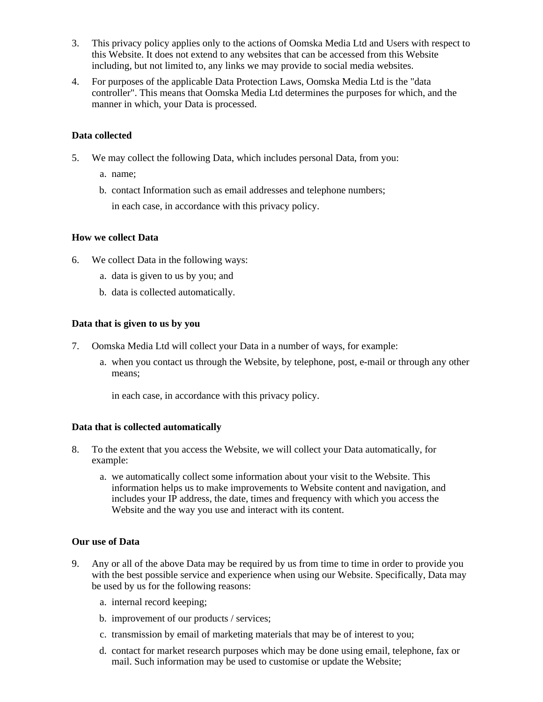- 3. This privacy policy applies only to the actions of Oomska Media Ltd and Users with respect to this Website. It does not extend to any websites that can be accessed from this Website including, but not limited to, any links we may provide to social media websites.
- 4. For purposes of the applicable Data Protection Laws, Oomska Media Ltd is the "data controller". This means that Oomska Media Ltd determines the purposes for which, and the manner in which, your Data is processed.

# **Data collected**

- 5. We may collect the following Data, which includes personal Data, from you:
	- a. name;
	- b. contact Information such as email addresses and telephone numbers; in each case, in accordance with this privacy policy.

## **How we collect Data**

- 6. We collect Data in the following ways:
	- a. data is given to us by you; and
	- b. data is collected automatically.

## **Data that is given to us by you**

- 7. Oomska Media Ltd will collect your Data in a number of ways, for example:
	- a. when you contact us through the Website, by telephone, post, e-mail or through any other means;

in each case, in accordance with this privacy policy.

# **Data that is collected automatically**

- 8. To the extent that you access the Website, we will collect your Data automatically, for example:
	- a. we automatically collect some information about your visit to the Website. This information helps us to make improvements to Website content and navigation, and includes your IP address, the date, times and frequency with which you access the Website and the way you use and interact with its content.

# **Our use of Data**

- 9. Any or all of the above Data may be required by us from time to time in order to provide you with the best possible service and experience when using our Website. Specifically, Data may be used by us for the following reasons:
	- a. internal record keeping;
	- b. improvement of our products / services;
	- c. transmission by email of marketing materials that may be of interest to you;
	- d. contact for market research purposes which may be done using email, telephone, fax or mail. Such information may be used to customise or update the Website;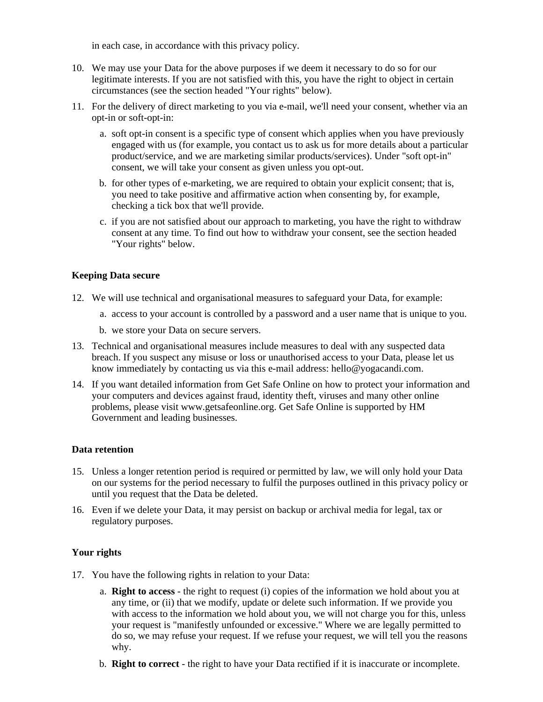in each case, in accordance with this privacy policy.

- 10. We may use your Data for the above purposes if we deem it necessary to do so for our legitimate interests. If you are not satisfied with this, you have the right to object in certain circumstances (see the section headed "Your rights" below).
- 11. For the delivery of direct marketing to you via e-mail, we'll need your consent, whether via an opt-in or soft-opt-in:
	- a. soft opt-in consent is a specific type of consent which applies when you have previously engaged with us (for example, you contact us to ask us for more details about a particular product/service, and we are marketing similar products/services). Under "soft opt-in" consent, we will take your consent as given unless you opt-out.
	- b. for other types of e-marketing, we are required to obtain your explicit consent; that is, you need to take positive and affirmative action when consenting by, for example, checking a tick box that we'll provide.
	- c. if you are not satisfied about our approach to marketing, you have the right to withdraw consent at any time. To find out how to withdraw your consent, see the section headed "Your rights" below.

# **Keeping Data secure**

- 12. We will use technical and organisational measures to safeguard your Data, for example:
	- a. access to your account is controlled by a password and a user name that is unique to you.
	- b. we store your Data on secure servers.
- 13. Technical and organisational measures include measures to deal with any suspected data breach. If you suspect any misuse or loss or unauthorised access to your Data, please let us know immediately by contacting us via this e-mail address: hello@yogacandi.com.
- 14. If you want detailed information from Get Safe Online on how to protect your information and your computers and devices against fraud, identity theft, viruses and many other online problems, please visit www.getsafeonline.org. Get Safe Online is supported by HM Government and leading businesses.

# **Data retention**

- 15. Unless a longer retention period is required or permitted by law, we will only hold your Data on our systems for the period necessary to fulfil the purposes outlined in this privacy policy or until you request that the Data be deleted.
- 16. Even if we delete your Data, it may persist on backup or archival media for legal, tax or regulatory purposes.

# **Your rights**

- 17. You have the following rights in relation to your Data:
	- a. **Right to access** the right to request (i) copies of the information we hold about you at any time, or (ii) that we modify, update or delete such information. If we provide you with access to the information we hold about you, we will not charge you for this, unless your request is "manifestly unfounded or excessive." Where we are legally permitted to do so, we may refuse your request. If we refuse your request, we will tell you the reasons why.
	- b. **Right to correct** the right to have your Data rectified if it is inaccurate or incomplete.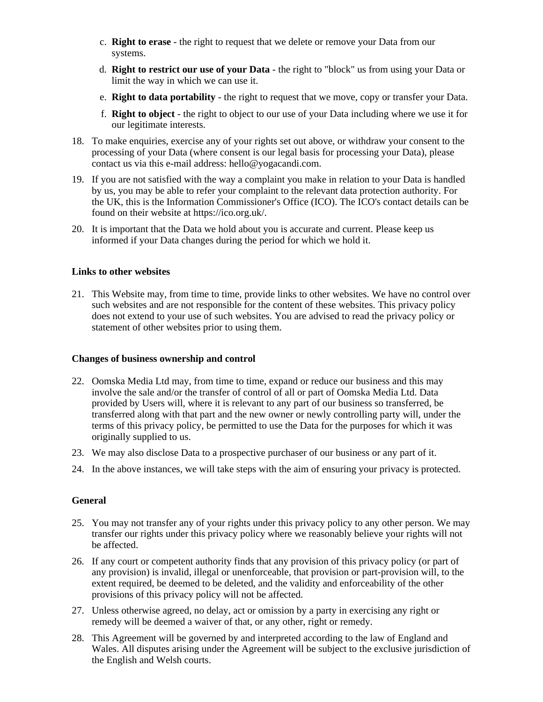- c. **Right to erase** the right to request that we delete or remove your Data from our systems.
- d. **Right to restrict our use of your Data** the right to "block" us from using your Data or limit the way in which we can use it.
- e. **Right to data portability** the right to request that we move, copy or transfer your Data.
- f. **Right to object** the right to object to our use of your Data including where we use it for our legitimate interests.
- 18. To make enquiries, exercise any of your rights set out above, or withdraw your consent to the processing of your Data (where consent is our legal basis for processing your Data), please contact us via this e-mail address: hello@yogacandi.com.
- 19. If you are not satisfied with the way a complaint you make in relation to your Data is handled by us, you may be able to refer your complaint to the relevant data protection authority. For the UK, this is the Information Commissioner's Office (ICO). The ICO's contact details can be found on their website at https://ico.org.uk/.
- 20. It is important that the Data we hold about you is accurate and current. Please keep us informed if your Data changes during the period for which we hold it.

## **Links to other websites**

21. This Website may, from time to time, provide links to other websites. We have no control over such websites and are not responsible for the content of these websites. This privacy policy does not extend to your use of such websites. You are advised to read the privacy policy or statement of other websites prior to using them.

#### **Changes of business ownership and control**

- 22. Oomska Media Ltd may, from time to time, expand or reduce our business and this may involve the sale and/or the transfer of control of all or part of Oomska Media Ltd. Data provided by Users will, where it is relevant to any part of our business so transferred, be transferred along with that part and the new owner or newly controlling party will, under the terms of this privacy policy, be permitted to use the Data for the purposes for which it was originally supplied to us.
- 23. We may also disclose Data to a prospective purchaser of our business or any part of it.
- 24. In the above instances, we will take steps with the aim of ensuring your privacy is protected.

# **General**

- 25. You may not transfer any of your rights under this privacy policy to any other person. We may transfer our rights under this privacy policy where we reasonably believe your rights will not be affected.
- 26. If any court or competent authority finds that any provision of this privacy policy (or part of any provision) is invalid, illegal or unenforceable, that provision or part-provision will, to the extent required, be deemed to be deleted, and the validity and enforceability of the other provisions of this privacy policy will not be affected.
- 27. Unless otherwise agreed, no delay, act or omission by a party in exercising any right or remedy will be deemed a waiver of that, or any other, right or remedy.
- 28. This Agreement will be governed by and interpreted according to the law of England and Wales. All disputes arising under the Agreement will be subject to the exclusive jurisdiction of the English and Welsh courts.